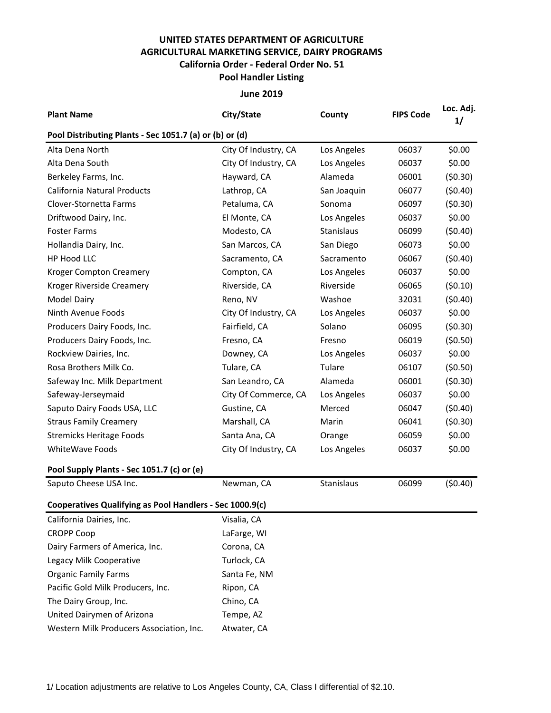## **UNITED STATES DEPARTMENT OF AGRICULTURE AGRICULTURAL MARKETING SERVICE, DAIRY PROGRAMS Pool Handler Listing California Order - Federal Order No. 51**

**June 2019**

| <b>Plant Name</b>                                        | City/State           | County      | <b>FIPS Code</b> | Loc. Adj.<br>1/ |  |  |  |  |  |
|----------------------------------------------------------|----------------------|-------------|------------------|-----------------|--|--|--|--|--|
| Pool Distributing Plants - Sec 1051.7 (a) or (b) or (d)  |                      |             |                  |                 |  |  |  |  |  |
| Alta Dena North                                          | City Of Industry, CA | Los Angeles | 06037            | \$0.00          |  |  |  |  |  |
| Alta Dena South                                          | City Of Industry, CA | Los Angeles | 06037            | \$0.00          |  |  |  |  |  |
| Berkeley Farms, Inc.                                     | Hayward, CA          | Alameda     | 06001            | (50.30)         |  |  |  |  |  |
| California Natural Products                              | Lathrop, CA          | San Joaquin | 06077            | (50.40)         |  |  |  |  |  |
| Clover-Stornetta Farms                                   | Petaluma, CA         | Sonoma      | 06097            | (50.30)         |  |  |  |  |  |
| Driftwood Dairy, Inc.                                    | El Monte, CA         | Los Angeles | 06037            | \$0.00          |  |  |  |  |  |
| <b>Foster Farms</b>                                      | Modesto, CA          | Stanislaus  | 06099            | (50.40)         |  |  |  |  |  |
| Hollandia Dairy, Inc.                                    | San Marcos, CA       | San Diego   | 06073            | \$0.00          |  |  |  |  |  |
| HP Hood LLC                                              | Sacramento, CA       | Sacramento  | 06067            | (50.40)         |  |  |  |  |  |
| <b>Kroger Compton Creamery</b>                           | Compton, CA          | Los Angeles | 06037            | \$0.00          |  |  |  |  |  |
| Kroger Riverside Creamery                                | Riverside, CA        | Riverside   | 06065            | (50.10)         |  |  |  |  |  |
| <b>Model Dairy</b>                                       | Reno, NV             | Washoe      | 32031            | (50.40)         |  |  |  |  |  |
| Ninth Avenue Foods                                       | City Of Industry, CA | Los Angeles | 06037            | \$0.00          |  |  |  |  |  |
| Producers Dairy Foods, Inc.                              | Fairfield, CA        | Solano      | 06095            | (50.30)         |  |  |  |  |  |
| Producers Dairy Foods, Inc.                              | Fresno, CA           | Fresno      | 06019            | (50.50)         |  |  |  |  |  |
| Rockview Dairies, Inc.                                   | Downey, CA           | Los Angeles | 06037            | \$0.00          |  |  |  |  |  |
| Rosa Brothers Milk Co.                                   | Tulare, CA           | Tulare      | 06107            | (50.50)         |  |  |  |  |  |
| Safeway Inc. Milk Department                             | San Leandro, CA      | Alameda     | 06001            | (50.30)         |  |  |  |  |  |
| Safeway-Jerseymaid                                       | City Of Commerce, CA | Los Angeles | 06037            | \$0.00          |  |  |  |  |  |
| Saputo Dairy Foods USA, LLC                              | Gustine, CA          | Merced      | 06047            | (50.40)         |  |  |  |  |  |
| <b>Straus Family Creamery</b>                            | Marshall, CA         | Marin       | 06041            | (50.30)         |  |  |  |  |  |
| <b>Stremicks Heritage Foods</b>                          | Santa Ana, CA        | Orange      | 06059            | \$0.00          |  |  |  |  |  |
| <b>WhiteWave Foods</b>                                   | City Of Industry, CA | Los Angeles | 06037            | \$0.00          |  |  |  |  |  |
| Pool Supply Plants - Sec 1051.7 (c) or (e)               |                      |             |                  |                 |  |  |  |  |  |
| Saputo Cheese USA Inc.                                   | Newman, CA           | Stanislaus  | 06099            | (50.40)         |  |  |  |  |  |
| Cooperatives Qualifying as Pool Handlers - Sec 1000.9(c) |                      |             |                  |                 |  |  |  |  |  |
| California Dairies, Inc.                                 | Visalia, CA          |             |                  |                 |  |  |  |  |  |
| <b>CROPP Coop</b>                                        | LaFarge, WI          |             |                  |                 |  |  |  |  |  |
| Dairy Farmers of America, Inc.                           | Corona, CA           |             |                  |                 |  |  |  |  |  |
| Legacy Milk Cooperative                                  | Turlock, CA          |             |                  |                 |  |  |  |  |  |
| <b>Organic Family Farms</b>                              | Santa Fe, NM         |             |                  |                 |  |  |  |  |  |
| Pacific Gold Milk Producers, Inc.                        | Ripon, CA            |             |                  |                 |  |  |  |  |  |
| The Dairy Group, Inc.                                    | Chino, CA            |             |                  |                 |  |  |  |  |  |
| United Dairymen of Arizona                               | Tempe, AZ            |             |                  |                 |  |  |  |  |  |
| Western Milk Producers Association, Inc.                 | Atwater, CA          |             |                  |                 |  |  |  |  |  |